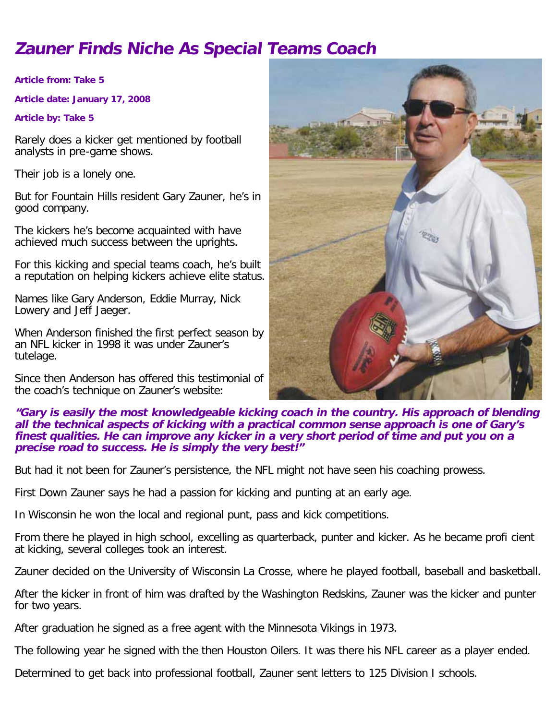# **Zauner Finds Niche As Special Teams Coach**

**Article from: Take 5**

**Article date: January 17, 2008**

**Article by: Take 5**

Rarely does a kicker get mentioned by football analysts in pre-game shows.

Their job is a lonely one.

But for Fountain Hills resident Gary Zauner, he's in good company.

The kickers he's become acquainted with have achieved much success between the uprights.

For this kicking and special teams coach, he's built a reputation on helping kickers achieve elite status.

Names like Gary Anderson, Eddie Murray, Nick Lowery and Jeff Jaeger.

When Anderson finished the first perfect season by an NFL kicker in 1998 it was under Zauner's tutelage.

Since then Anderson has offered this testimonial of the coach's technique on Zauner's website:



### **"Gary is easily the most knowledgeable kicking coach in the country. His approach of blending all the technical aspects of kicking with a practical common sense approach is one of Gary's finest qualities. He can improve any kicker in a very short period of time and put you on a precise road to success. He is simply the very best!"**

But had it not been for Zauner's persistence, the NFL might not have seen his coaching prowess.

First Down Zauner says he had a passion for kicking and punting at an early age.

In Wisconsin he won the local and regional punt, pass and kick competitions.

From there he played in high school, excelling as quarterback, punter and kicker. As he became profi cient at kicking, several colleges took an interest.

Zauner decided on the University of Wisconsin La Crosse, where he played football, baseball and basketball.

After the kicker in front of him was drafted by the Washington Redskins, Zauner was the kicker and punter for two years.

After graduation he signed as a free agent with the Minnesota Vikings in 1973.

The following year he signed with the then Houston Oilers. It was there his NFL career as a player ended.

Determined to get back into professional football, Zauner sent letters to 125 Division I schools.